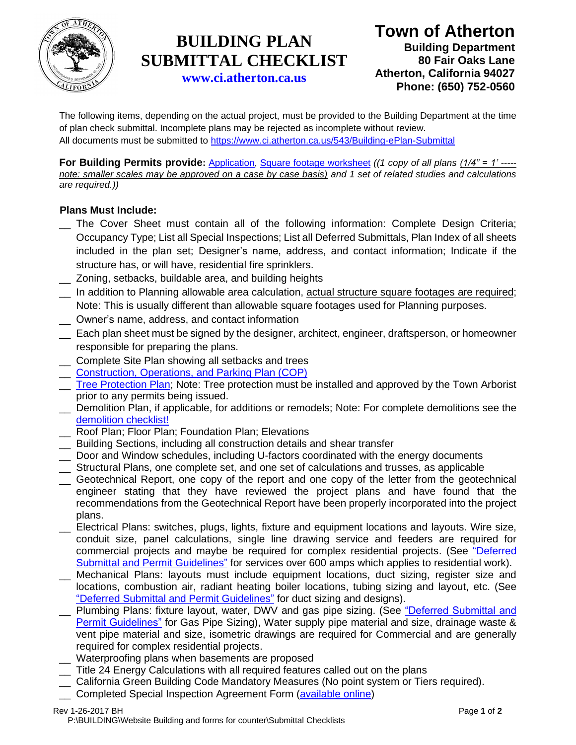

# **BUILDING PLAN SUBMITTAL CHECKLIST**

**Town of Atherton Building Department 80 Fair Oaks Lane Atherton, California 94027 Phone: (650) 752-0560**

**[www.ci.atherton.ca.us](http://www.ci.atherton.ca.us/)**

The following items, depending on the actual project, must be provided to the Building Department at the time of plan check submittal. Incomplete plans may be rejected as incomplete without review. All documents must be submitted to<https://www.ci.atherton.ca.us/543/Building-ePlan-Submittal>

**For Building Permits provide:** [Application,](https://www.ci.atherton.ca.us/DocumentCenter/View/2004) [Square footage](https://www.ci.atherton.ca.us/DocumentCenter/View/2002) worksheet *((1 copy of all plans (1/4" = 1' ---- note: smaller scales may be approved on a case by case basis) and 1 set of related studies and calculations are required.))*

#### **Plans Must Include:**

- The Cover Sheet must contain all of the following information: Complete Design Criteria; Occupancy Type; List all Special Inspections; List all Deferred Submittals, Plan Index of all sheets included in the plan set; Designer's name, address, and contact information; Indicate if the structure has, or will have, residential fire sprinklers.
- \_\_ Zoning, setbacks, buildable area, and building heights
- \_\_ In addition to Planning allowable area calculation, actual structure square footages are required; Note: This is usually different than allowable square footages used for Planning purposes.
- \_\_ Owner's name, address, and contact information
- \_\_ Each plan sheet must be signed by the designer, architect, engineer, draftsperson, or homeowner responsible for preparing the plans.
- \_\_ Complete Site Plan showing all setbacks and trees
- \_\_ [Construction, Operations, and Parking Plan](https://www.ci.atherton.ca.us/DocumentCenter/View/490) (COP)
- Tree Protection Plan: Note: Tree protection must be installed and approved by the Town Arborist prior to any permits being issued.
- \_\_ Demolition Plan, if applicable, for additions or remodels; Note: For complete demolitions see the [demolition checklist!](https://www.ci.atherton.ca.us/DocumentCenter/View/6525/Demo-Permit-Checklist-with-Assessment-Form)
- Roof Plan; Floor Plan; Foundation Plan; Elevations
- \_\_ Building Sections, including all construction details and shear transfer
- \_\_ Door and Window schedules, including U-factors coordinated with the energy documents
- \_\_ Structural Plans, one complete set, and one set of calculations and trusses, as applicable
- \_\_ Geotechnical Report, one copy of the report and one copy of the letter from the geotechnical engineer stating that they have reviewed the project plans and have found that the recommendations from the Geotechnical Report have been properly incorporated into the project plans.
- \_\_ Electrical Plans: switches, plugs, lights, fixture and equipment locations and layouts. Wire size, conduit size, panel calculations, single line drawing service and feeders are required for commercial projects and maybe be required for complex residential projects. (See ["Deferred](https://www.ci.atherton.ca.us/DocumentCenter/View/2973)  [Submittal and Permit Guidelines"](https://www.ci.atherton.ca.us/DocumentCenter/View/2973) for services over 600 amps which applies to residential work).
- Mechanical Plans: layouts must include equipment locations, duct sizing, register size and locations, combustion air, radiant heating boiler locations, tubing sizing and layout, etc. (See ["Deferred Submittal and Permit Guidelines"](https://www.ci.atherton.ca.us/DocumentCenter/View/2973) for duct sizing and designs).
- Plumbing Plans: fixture layout, water, DWV and gas pipe sizing. (See "Deferred Submittal and [Permit Guidelines"](https://www.ci.atherton.ca.us/DocumentCenter/View/2973) for Gas Pipe Sizing), Water supply pipe material and size, drainage waste & vent pipe material and size, isometric drawings are required for Commercial and are generally required for complex residential projects.
- Waterproofing plans when basements are proposed
- \_\_ Title 24 Energy Calculations with all required features called out on the plans
- \_\_ California Green Building Code Mandatory Measures (No point system or Tiers required).
- \_\_ Completed Special Inspection Agreement Form [\(available online\)](https://www.ci.atherton.ca.us/DocumentCenter/View/1725)